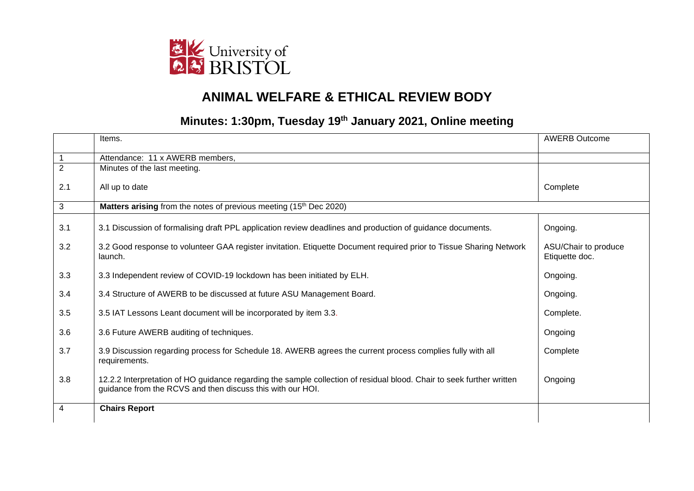

## **ANIMAL WELFARE & ETHICAL REVIEW BODY**

## **Minutes: 1:30pm, Tuesday 19th January 2021, Online meeting**

|                | Items.                                                                                                                                                                              | <b>AWERB Outcome</b>                   |
|----------------|-------------------------------------------------------------------------------------------------------------------------------------------------------------------------------------|----------------------------------------|
|                | Attendance: 11 x AWERB members,                                                                                                                                                     |                                        |
| $\overline{2}$ | Minutes of the last meeting.                                                                                                                                                        |                                        |
| 2.1            | All up to date                                                                                                                                                                      | Complete                               |
| 3              | Matters arising from the notes of previous meeting (15th Dec 2020)                                                                                                                  |                                        |
| 3.1            | 3.1 Discussion of formalising draft PPL application review deadlines and production of guidance documents.                                                                          | Ongoing.                               |
| 3.2            | 3.2 Good response to volunteer GAA register invitation. Etiquette Document required prior to Tissue Sharing Network<br>launch.                                                      | ASU/Chair to produce<br>Etiquette doc. |
| 3.3            | 3.3 Independent review of COVID-19 lockdown has been initiated by ELH.                                                                                                              | Ongoing.                               |
| 3.4            | 3.4 Structure of AWERB to be discussed at future ASU Management Board.                                                                                                              | Ongoing.                               |
| 3.5            | 3.5 IAT Lessons Leant document will be incorporated by item 3.3.                                                                                                                    | Complete.                              |
| 3.6            | 3.6 Future AWERB auditing of techniques.                                                                                                                                            | Ongoing                                |
| 3.7            | 3.9 Discussion regarding process for Schedule 18. AWERB agrees the current process complies fully with all<br>requirements.                                                         | Complete                               |
| 3.8            | 12.2.2 Interpretation of HO guidance regarding the sample collection of residual blood. Chair to seek further written<br>guidance from the RCVS and then discuss this with our HOI. | Ongoing                                |
| $\overline{4}$ | <b>Chairs Report</b>                                                                                                                                                                |                                        |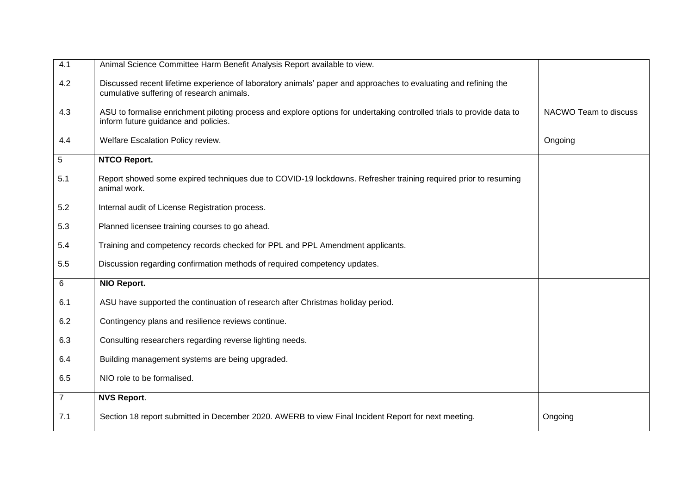| 4.1            | Animal Science Committee Harm Benefit Analysis Report available to view.                                                                                      |                       |
|----------------|---------------------------------------------------------------------------------------------------------------------------------------------------------------|-----------------------|
| 4.2            | Discussed recent lifetime experience of laboratory animals' paper and approaches to evaluating and refining the<br>cumulative suffering of research animals.  |                       |
| 4.3            | ASU to formalise enrichment piloting process and explore options for undertaking controlled trials to provide data to<br>inform future guidance and policies. | NACWO Team to discuss |
| 4.4            | Welfare Escalation Policy review.                                                                                                                             | Ongoing               |
| 5              | <b>NTCO Report.</b>                                                                                                                                           |                       |
| 5.1            | Report showed some expired techniques due to COVID-19 lockdowns. Refresher training required prior to resuming<br>animal work.                                |                       |
| 5.2            | Internal audit of License Registration process.                                                                                                               |                       |
| 5.3            | Planned licensee training courses to go ahead.                                                                                                                |                       |
| 5.4            | Training and competency records checked for PPL and PPL Amendment applicants.                                                                                 |                       |
| 5.5            | Discussion regarding confirmation methods of required competency updates.                                                                                     |                       |
| 6              | NIO Report.                                                                                                                                                   |                       |
| 6.1            | ASU have supported the continuation of research after Christmas holiday period.                                                                               |                       |
| 6.2            | Contingency plans and resilience reviews continue.                                                                                                            |                       |
| 6.3            | Consulting researchers regarding reverse lighting needs.                                                                                                      |                       |
| 6.4            | Building management systems are being upgraded.                                                                                                               |                       |
| 6.5            | NIO role to be formalised.                                                                                                                                    |                       |
| $\overline{7}$ | <b>NVS Report.</b>                                                                                                                                            |                       |
| 7.1            | Section 18 report submitted in December 2020. AWERB to view Final Incident Report for next meeting.                                                           | Ongoing               |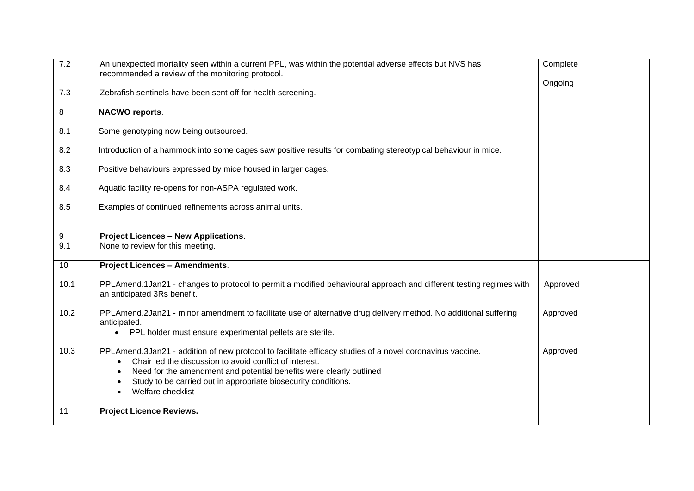| 7.2<br>7.3 | An unexpected mortality seen within a current PPL, was within the potential adverse effects but NVS has<br>recommended a review of the monitoring protocol.<br>Zebrafish sentinels have been sent off for health screening. | Complete<br>Ongoing |
|------------|-----------------------------------------------------------------------------------------------------------------------------------------------------------------------------------------------------------------------------|---------------------|
| 8          | <b>NACWO reports.</b>                                                                                                                                                                                                       |                     |
|            |                                                                                                                                                                                                                             |                     |
| 8.1        | Some genotyping now being outsourced.                                                                                                                                                                                       |                     |
| 8.2        | Introduction of a hammock into some cages saw positive results for combating stereotypical behaviour in mice.                                                                                                               |                     |
| 8.3        | Positive behaviours expressed by mice housed in larger cages.                                                                                                                                                               |                     |
| 8.4        | Aquatic facility re-opens for non-ASPA regulated work.                                                                                                                                                                      |                     |
| 8.5        | Examples of continued refinements across animal units.                                                                                                                                                                      |                     |
|            |                                                                                                                                                                                                                             |                     |
| 9          | <b>Project Licences - New Applications.</b>                                                                                                                                                                                 |                     |
| 9.1        | None to review for this meeting.                                                                                                                                                                                            |                     |
| 10         | <b>Project Licences - Amendments.</b>                                                                                                                                                                                       |                     |
| 10.1       | PPLAmend.1Jan21 - changes to protocol to permit a modified behavioural approach and different testing regimes with<br>an anticipated 3Rs benefit.                                                                           | Approved            |
| 10.2       | PPLAmend.2Jan21 - minor amendment to facilitate use of alternative drug delivery method. No additional suffering<br>anticipated.                                                                                            | Approved            |
|            | PPL holder must ensure experimental pellets are sterile.<br>$\bullet$                                                                                                                                                       |                     |
| 10.3       | PPLAmend.3Jan21 - addition of new protocol to facilitate efficacy studies of a novel coronavirus vaccine.<br>Chair led the discussion to avoid conflict of interest.<br>$\bullet$                                           | Approved            |
|            | Need for the amendment and potential benefits were clearly outlined<br>$\bullet$<br>Study to be carried out in appropriate biosecurity conditions.                                                                          |                     |
|            | Welfare checklist                                                                                                                                                                                                           |                     |
| 11         | <b>Project Licence Reviews.</b>                                                                                                                                                                                             |                     |
|            |                                                                                                                                                                                                                             |                     |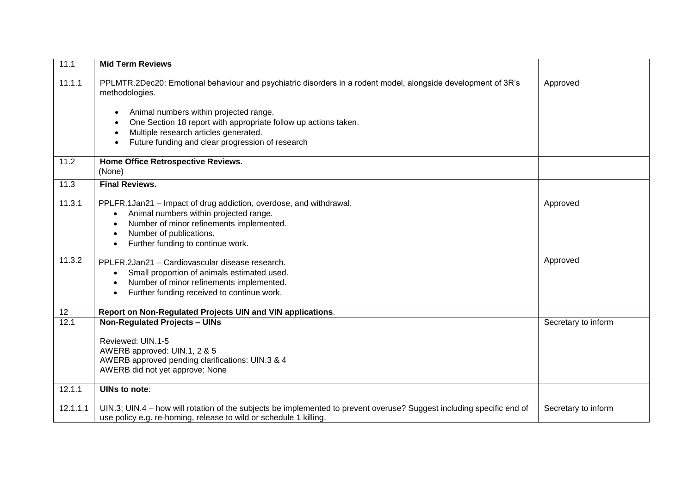| 11.1     | <b>Mid Term Reviews</b>                                                                                                                                                                                                                                         |                     |
|----------|-----------------------------------------------------------------------------------------------------------------------------------------------------------------------------------------------------------------------------------------------------------------|---------------------|
| 11.1.1   | PPLMTR.2Dec20: Emotional behaviour and psychiatric disorders in a rodent model, alongside development of 3R's<br>methodologies.                                                                                                                                 | Approved            |
|          | Animal numbers within projected range.<br>One Section 18 report with appropriate follow up actions taken.<br>Multiple research articles generated.<br>Future funding and clear progression of research                                                          |                     |
| 11.2     | Home Office Retrospective Reviews.<br>(None)                                                                                                                                                                                                                    |                     |
| 11.3     | <b>Final Reviews.</b>                                                                                                                                                                                                                                           |                     |
| 11.3.1   | PPLFR.1Jan21 - Impact of drug addiction, overdose, and withdrawal.<br>Animal numbers within projected range.<br>$\bullet$<br>Number of minor refinements implemented.<br>$\bullet$<br>Number of publications.<br>Further funding to continue work.<br>$\bullet$ | Approved            |
| 11.3.2   | PPLFR.2Jan21 - Cardiovascular disease research.<br>Small proportion of animals estimated used.<br>$\bullet$<br>Number of minor refinements implemented.<br>$\bullet$<br>Further funding received to continue work.<br>$\bullet$                                 | Approved            |
| 12       | Report on Non-Regulated Projects UIN and VIN applications.                                                                                                                                                                                                      |                     |
| 12.1     | <b>Non-Regulated Projects - UINs</b><br>Reviewed: UIN.1-5<br>AWERB approved: UIN.1, 2 & 5<br>AWERB approved pending clarifications: UIN.3 & 4<br>AWERB did not yet approve: None                                                                                | Secretary to inform |
| 12.1.1   | UINs to note:                                                                                                                                                                                                                                                   |                     |
| 12.1.1.1 | UIN.3; UIN.4 - how will rotation of the subjects be implemented to prevent overuse? Suggest including specific end of<br>use policy e.g. re-homing, release to wild or schedule 1 killing.                                                                      | Secretary to inform |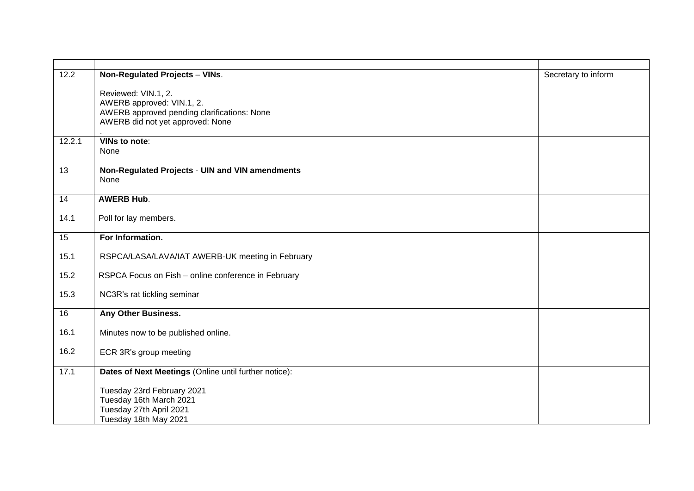| 12.2   | Non-Regulated Projects - VINs.                          | Secretary to inform |
|--------|---------------------------------------------------------|---------------------|
|        | Reviewed: VIN.1, 2.                                     |                     |
|        | AWERB approved: VIN.1, 2.                               |                     |
|        | AWERB approved pending clarifications: None             |                     |
|        | AWERB did not yet approved: None                        |                     |
| 12.2.1 | VINs to note:                                           |                     |
|        | None                                                    |                     |
|        |                                                         |                     |
| 13     | Non-Regulated Projects - UIN and VIN amendments<br>None |                     |
|        |                                                         |                     |
| 14     | <b>AWERB Hub.</b>                                       |                     |
|        |                                                         |                     |
| 14.1   | Poll for lay members.                                   |                     |
| 15     | For Information.                                        |                     |
| 15.1   | RSPCA/LASA/LAVA/IAT AWERB-UK meeting in February        |                     |
| 15.2   | RSPCA Focus on Fish - online conference in February     |                     |
|        |                                                         |                     |
| 15.3   | NC3R's rat tickling seminar                             |                     |
|        |                                                         |                     |
| 16     | Any Other Business.                                     |                     |
| 16.1   | Minutes now to be published online.                     |                     |
|        |                                                         |                     |
| 16.2   | ECR 3R's group meeting                                  |                     |
| 17.1   | Dates of Next Meetings (Online until further notice):   |                     |
|        | Tuesday 23rd February 2021                              |                     |
|        | Tuesday 16th March 2021                                 |                     |
|        | Tuesday 27th April 2021                                 |                     |
|        | Tuesday 18th May 2021                                   |                     |